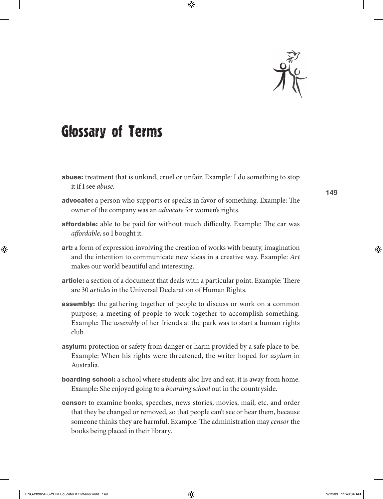

## Glossary of Terms

- abuse: treatment that is unkind, cruel or unfair. Example: I do something to stop it if I see *abuse.*
- advocate: a person who supports or speaks in favor of something. Example: The owner of the company was an *advocate* for women's rights.
- **affordable:** able to be paid for without much difficulty. Example: The car was *affordable*, so I bought it.
- art: a form of expression involving the creation of works with beauty, imagination and the intention to communicate new ideas in a creative way. Example: *Art* makes our world beautiful and interesting.
- **article:** a section of a document that deals with a particular point. Example: There are 30 *articles* in the Universal Declaration of Human Rights.
- **assembly:** the gathering together of people to discuss or work on a common purpose; a meeting of people to work together to accomplish something. Example: The *assembly* of her friends at the park was to start a human rights club.
- **asylum:** protection or safety from danger or harm provided by a safe place to be. Example: When his rights were threatened, the writer hoped for *asylum* in Australia.
- **boarding school:** a school where students also live and eat; it is away from home. Example: She enjoyed going to a *boarding school* out in the countryside.
- censor: to examine books, speeches, news stories, movies, mail, etc. and order that they be changed or removed, so that people can't see or hear them, because someone thinks they are harmful. Example: The administration may *censor* the books being placed in their library*.*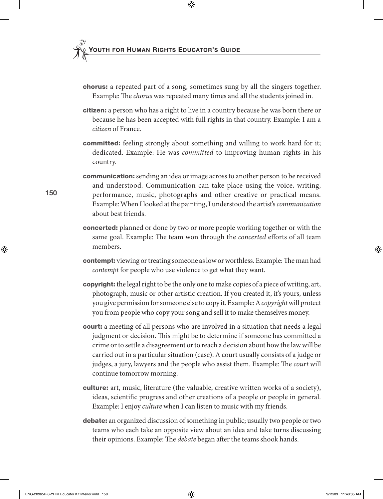- chorus: a repeated part of a song, sometimes sung by all the singers together. Example: The *chorus* was repeated many times and all the students joined in.
- **citizen:** a person who has a right to live in a country because he was born there or because he has been accepted with full rights in that country. Example: I am a *citizen* of France.
- **committed:** feeling strongly about something and willing to work hard for it; dedicated. Example: He was *committed* to improving human rights in his country.
- communication: sending an idea or image across to another person to be received and understood. Communication can take place using the voice, writing, performance, music, photographs and other creative or practical means. Example: When I looked at the painting, I understood the artist's *communication* about best friends.
- concerted: planned or done by two or more people working together or with the same goal. Example: The team won through the *concerted* efforts of all team members.
- **contempt:** viewing or treating someone as low or worthless. Example: The man had *contempt* for people who use violence to get what they want.
- **copyright:** the legal right to be the only one to make copies of a piece of writing, art, photograph, music or other artistic creation. If you created it, it's yours, unless you give permission for someone else to copy it. Example: A *copyright* will protect you from people who copy your song and sell it to make themselves money.
- **court:** a meeting of all persons who are involved in a situation that needs a legal judgment or decision. This might be to determine if someone has committed a crime or to settle a disagreement or to reach a decision about how the law will be carried out in a particular situation (case). A court usually consists of a judge or judges, a jury, lawyers and the people who assist them. Example: The *court* will continue tomorrow morning.
- culture: art, music, literature (the valuable, creative written works of a society), ideas, scientific progress and other creations of a people or people in general. Example: I enjoy *culture* when I can listen to music with my friends.
- debate: an organized discussion of something in public; usually two people or two teams who each take an opposite view about an idea and take turns discussing their opinions. Example: The *debate* began after the teams shook hands.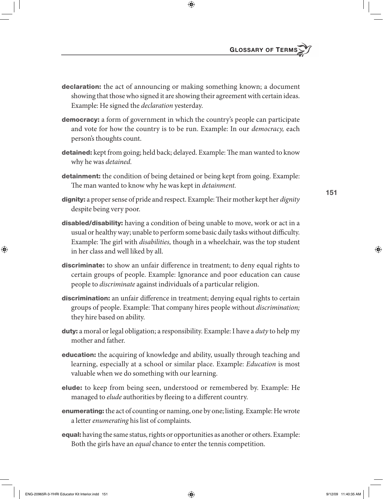- **declaration:** the act of announcing or making something known; a document showing that those who signed it are showing their agreement with certain ideas. Example: He signed the *declaration* yesterday.
- **democracy:** a form of government in which the country's people can participate and vote for how the country is to be run. Example: In our *democracy,* each person's thoughts count.
- detained: kept from going; held back; delayed. Example: The man wanted to know why he was *detained.*
- **detainment:** the condition of being detained or being kept from going. Example: The man wanted to know why he was kept in *detainment*.
- dignity: a proper sense of pride and respect. Example: Their mother kept her *dignity* despite being very poor.
- disabled/disability: having a condition of being unable to move, work or act in a usual or healthy way; unable to perform some basic daily tasks without difficulty. Example: The girl with *disabilities*, though in a wheelchair, was the top student in her class and well liked by all.
- discriminate: to show an unfair difference in treatment; to deny equal rights to certain groups of people. Example: Ignorance and poor education can cause people to *discriminate* against individuals of a particular religion.
- **discrimination:** an unfair difference in treatment; denying equal rights to certain groups of people. Example: That company hires people without *discrimination*; they hire based on ability.
- duty: a moral or legal obligation; a responsibility. Example: I have a *duty* to help my mother and father.
- **education:** the acquiring of knowledge and ability, usually through teaching and learning, especially at a school or similar place. Example: *Education* is most valuable when we do something with our learning.
- elude: to keep from being seen, understood or remembered by. Example: He managed to *elude* authorities by fleeing to a different country.
- enumerating: the act of counting or naming, one by one; listing. Example: He wrote a letter *enumerating* his list of complaints.
- equal: having the same status, rights or opportunities as another or others. Example: Both the girls have an *equal* chance to enter the tennis competition.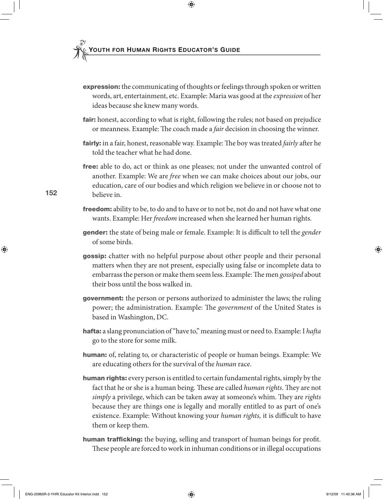- **expression:** the communicating of thoughts or feelings through spoken or written words, art, entertainment, etc. Example: Maria was good at the *expression* of her ideas because she knew many words.
- **fair:** honest, according to what is right, following the rules; not based on prejudice or meanness. Example: The coach made a *fair* decision in choosing the winner.
- **fairly:** in a fair, honest, reasonable way. Example: The boy was treated *fairly* after he told the teacher what he had done.
- free: able to do, act or think as one pleases; not under the unwanted control of another. Example: We are *free* when we can make choices about our jobs, our education, care of our bodies and which religion we believe in or choose not to believe in.
- freedom: ability to be, to do and to have or to not be, not do and not have what one wants. Example: Her *freedom* increased when she learned her human rights.
- **gender:** the state of being male or female. Example: It is difficult to tell the *gender* of some birds.
- **gossip:** chatter with no helpful purpose about other people and their personal matters when they are not present, especially using false or incomplete data to embarrass the person or make them seem less. Example: The men *gossiped* about their boss until the boss walked in.
- **government:** the person or persons authorized to administer the laws; the ruling power; the administration. Example: The *government* of the United States is based in Washington, DC.
- hafta: a slang pronunciation of "have to," meaning must or need to. Example: I *hafta* go to the store for some milk.
- human: of, relating to, or characteristic of people or human beings. Example: We are educating others for the survival of the *human* race.
- human rights: every person is entitled to certain fundamental rights, simply by the fact that he or she is a human being. These are called *human rights*. They are not *simply* a privilege, which can be taken away at someone's whim. They are *rights* because they are things one is legally and morally entitled to as part of one's existence. Example: Without knowing your *human rights*, it is difficult to have them or keep them.
- human trafficking: the buying, selling and transport of human beings for profit. These people are forced to work in inhuman conditions or in illegal occupations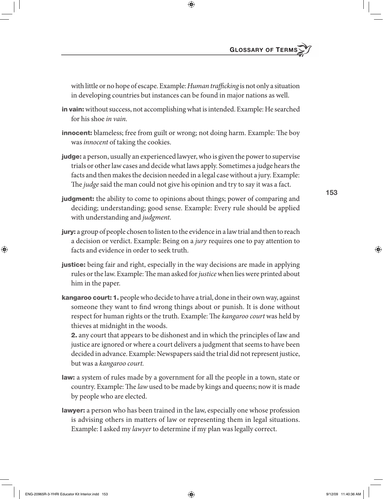with little or no hope of escape. Example: *Human trafficking* is not only a situation in developing countries but instances can be found in major nations as well.

- in vain: without success, not accomplishing what is intended. Example: He searched for his shoe *in vain.*
- **innocent:** blameless; free from guilt or wrong; not doing harm. Example: The boy was *innocent* of taking the cookies.
- judge: a person, usually an experienced lawyer, who is given the power to supervise trials or other law cases and decide what laws apply. Sometimes a judge hears the facts and then makes the decision needed in a legal case without a jury. Example: The *judge* said the man could not give his opinion and try to say it was a fact.
- **judgment:** the ability to come to opinions about things; power of comparing and deciding; understanding; good sense. Example: Every rule should be applied with understanding and *judgment.*
- jury: a group of people chosen to listen to the evidence in a law trial and then to reach a decision or verdict. Example: Being on a *jury* requires one to pay attention to facts and evidence in order to seek truth.
- justice: being fair and right, especially in the way decisions are made in applying rules or the law. Example: The man asked for *justice* when lies were printed about him in the paper.
- **kangaroo court: 1.** people who decide to have a trial, done in their own way, against someone they want to find wrong things about or punish. It is done without respect for human rights or the truth. Example: The *kangaroo court* was held by thieves at midnight in the woods.

2. any court that appears to be dishonest and in which the principles of law and justice are ignored or where a court delivers a judgment that seems to have been decided in advance. Example: Newspapers said the trial did not represent justice, but was a *kangaroo court.*

- law: a system of rules made by a government for all the people in a town, state or country. Example: The *law* used to be made by kings and queens; now it is made by people who are elected.
- **lawyer:** a person who has been trained in the law, especially one whose profession is advising others in matters of law or representing them in legal situations. Example: I asked my *lawyer* to determine if my plan was legally correct.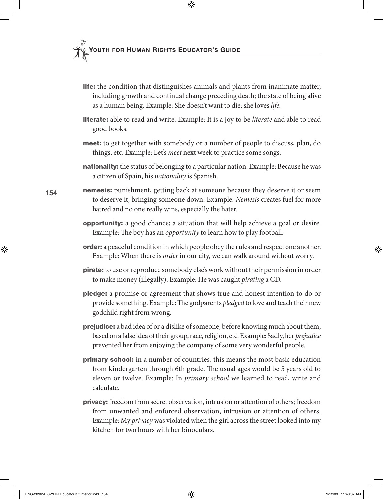- life: the condition that distinguishes animals and plants from inanimate matter, including growth and continual change preceding death; the state of being alive as a human being. Example: She doesn't want to die; she loves *life.*
- literate: able to read and write. Example: It is a joy to be *literate* and able to read good books.
- **meet:** to get together with somebody or a number of people to discuss, plan, do things, etc. Example: Let's *meet* next week to practice some songs.
- nationality: the status of belonging to a particular nation. Example: Because he was a citizen of Spain, his *nationality* is Spanish.
- **nemesis:** punishment, getting back at someone because they deserve it or seem to deserve it, bringing someone down. Example: *Nemesis* creates fuel for more hatred and no one really wins, especially the hater.
	- opportunity: a good chance; a situation that will help achieve a goal or desire. Example: The boy has an *opportunity* to learn how to play football.
	- **order:** a peaceful condition in which people obey the rules and respect one another. Example: When there is *order* in our city, we can walk around without worry.
	- **pirate:** to use or reproduce somebody else's work without their permission in order to make money (illegally). Example: He was caught *pirating* a CD.
	- pledge: a promise or agreement that shows true and honest intention to do or provide something. Example: The godparents *pledged* to love and teach their new godchild right from wrong.
	- **prejudice:** a bad idea of or a dislike of someone, before knowing much about them, based on a false idea of their group, race, religion, etc. Example: Sadly, her *prejudice* prevented her from enjoying the company of some very wonderful people.
	- primary school: in a number of countries, this means the most basic education from kindergarten through 6th grade. The usual ages would be 5 years old to eleven or twelve. Example: In *primary school* we learned to read, write and calculate.
	- privacy: freedom from secret observation, intrusion or attention of others; freedom from unwanted and enforced observation, intrusion or attention of others. Example: My *privacy* was violated when the girl across the street looked into my kitchen for two hours with her binoculars.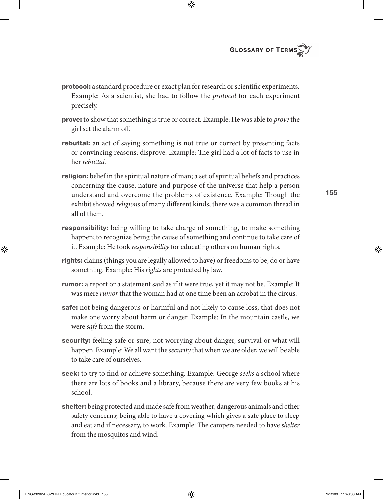- **protocol:** a standard procedure or exact plan for research or scientific experiments. Example: As a scientist, she had to follow the *protocol* for each experiment precisely.
- prove: to show that something is true or correct. Example: He was able to *prove* the girl set the alarm off.
- **rebuttal:** an act of saying something is not true or correct by presenting facts or convincing reasons; disprove. Example: The girl had a lot of facts to use in her *rebuttal.*
- **religion:** belief in the spiritual nature of man; a set of spiritual beliefs and practices concerning the cause, nature and purpose of the universe that help a person understand and overcome the problems of existence. Example: Though the exhibit showed *religions* of many different kinds, there was a common thread in all of them.
- **responsibility:** being willing to take charge of something, to make something happen; to recognize being the cause of something and continue to take care of it. Example: He took *responsibility* for educating others on human rights.
- rights: claims (things you are legally allowed to have) or freedoms to be, do or have something. Example: His *rights* are protected by law.
- **rumor:** a report or a statement said as if it were true, yet it may not be. Example: It was mere *rumor* that the woman had at one time been an acrobat in the circus.
- safe: not being dangerous or harmful and not likely to cause loss; that does not make one worry about harm or danger. Example: In the mountain castle, we were *safe* from the storm.
- security: feeling safe or sure; not worrying about danger, survival or what will happen. Example: We all want the *security* that when we are older, we will be able to take care of ourselves.
- **seek:** to try to find or achieve something. Example: George *seeks* a school where there are lots of books and a library, because there are very few books at his school.
- shelter: being protected and made safe from weather, dangerous animals and other safety concerns; being able to have a covering which gives a safe place to sleep and eat and if necessary, to work. Example: The campers needed to have *shelter* from the mosquitos and wind.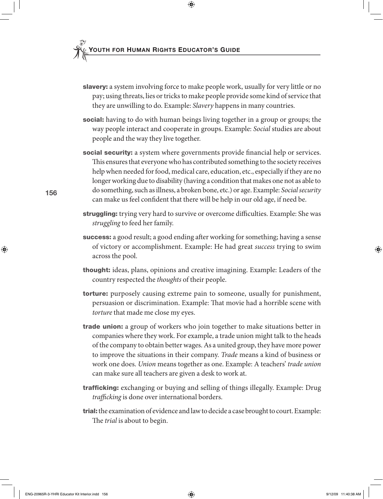- slavery: a system involving force to make people work, usually for very little or no pay; using threats, lies or tricks to make people provide some kind of service that they are unwilling to do. Example: *Slavery* happens in many countries.
- **social:** having to do with human beings living together in a group or groups; the way people interact and cooperate in groups. Example: *Social* studies are about people and the way they live together.
- social security: a system where governments provide financial help or services. This ensures that everyone who has contributed something to the society receives help when needed for food, medical care, education, etc., especially if they are no longer working due to disability (having a condition that makes one not as able to do something, such as illness, a broken bone, etc.) or age. Example: *Social security* can make us feel confident that there will be help in our old age, if need be.
- **struggling:** trying very hard to survive or overcome difficulties. Example: She was *struggling* to feed her family.
- **success:** a good result; a good ending after working for something; having a sense of victory or accomplishment. Example: He had great *success* trying to swim across the pool.
- thought: ideas, plans, opinions and creative imagining. Example: Leaders of the country respected the *thoughts* of their people.
- torture: purposely causing extreme pain to someone, usually for punishment, persuasion or discrimination. Example: That movie had a horrible scene with *torture* that made me close my eyes.
- **trade union:** a group of workers who join together to make situations better in companies where they work. For example, a trade union might talk to the heads of the company to obtain better wages. As a united group, they have more power to improve the situations in their company. *Trade* means a kind of business or work one does. *Union* means together as one. Example: A teachers' *trade union* can make sure all teachers are given a desk to work at.
- **trafficking:** exchanging or buying and selling of things illegally. Example: Drug trafficking is done over international borders.
- trial: the examination of evidence and law to decide a case brought to court. Example: The *trial* is about to begin.